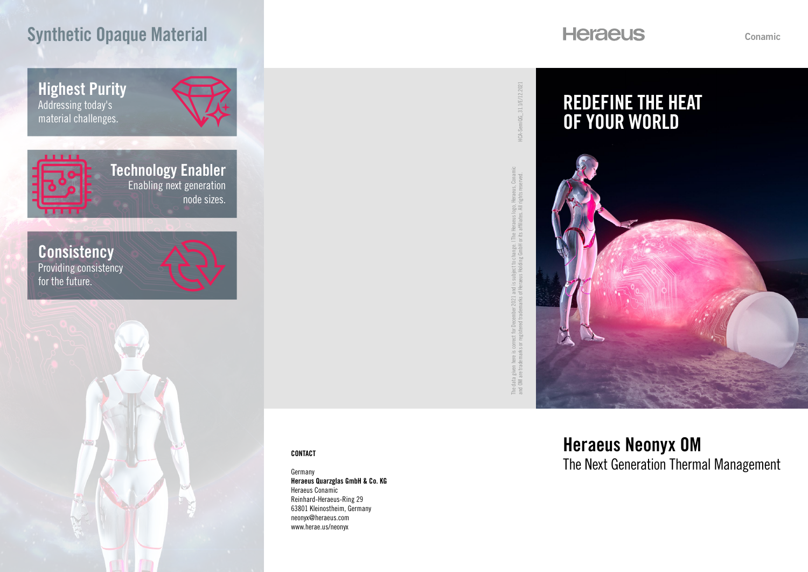# Synthetic Opaque Material